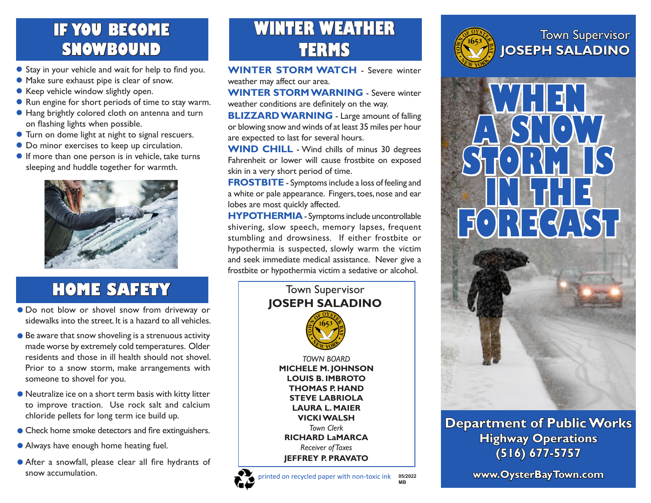### **IF YOU BECOME SNOWBOUND**

- Stay in your vehicle and wait for help to find you.
- Make sure exhaust pipe is clear of snow.
- Keep vehicle window slightly open.
- Run engine for short periods of time to stay warm.
- Hang brightly colored cloth on antenna and turn on flashing lights when possible.
- Turn on dome light at night to signal rescuers.
- $\bullet$  Do minor exercises to keep up circulation.
- **If more than one person is in vehicle, take turns** sleeping and huddle together for warmth.



# **HOME SAFETY**

- Do not blow or shovel snow from driveway or sidewalks into the street. It is a hazard to all vehicles.
- **Be aware that snow shoveling is a strenuous activity** made worse by extremely cold temperatures. Older residents and those in ill health should not shovel. Prior to a snow storm, make arrangements with someone to shovel for you.
- Neutralize ice on a short term basis with kitty litter to improve traction. Use rock salt and calcium chloride pellets for long term ice build up.
- **Check home smoke detectors and fire extinguishers.**
- Always have enough home heating fuel.
- After a snowfall, please clear all fire hydrants of snow accumulation.

# **WINTER WEATHER TERMS**

**WINTER STORM WATCH** - Severe winter weather may affect our area.

**WINTER STORM WARNING** - Severe winter weather conditions are definitely on the way.

**BLIZZARD WARNING** - Large amount of falling or blowing snow and winds of at least 35 miles per hour are expected to last for several hours.

**WIND CHILL** - Wind chills of minus 30 degrees Fahrenheit or lower will cause frostbite on exposed skin in a very short period of time.

**FROSTBITE** - Symptoms include a loss of feeling and a white or pale appearance. Fingers, toes, nose and ear lobes are most quickly affected.

**HYPOTHERMIA**- Symptoms include uncontrollable shivering, slow speech, memory lapses, frequent stumbling and drowsiness. If either frostbite or hypothermia is suspected, slowly warm the victim and seek immediate medical assistance. Never give a frostbite or hypothermia victim a sedative or alcohol.



**MB**







#### **Department of Public Works Highway Operations (516) 677-5757**